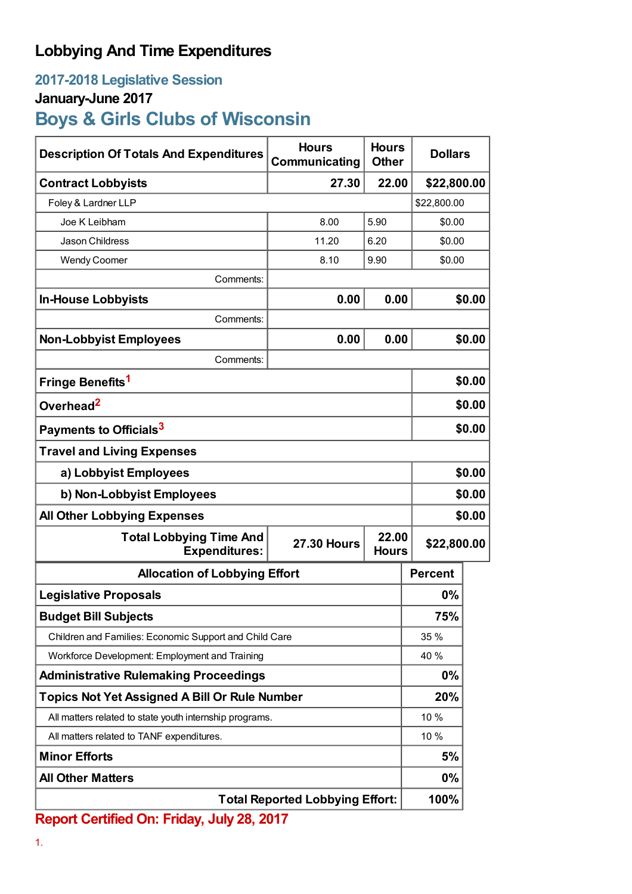# **Lobbying And Time Expenditures**

## **2017-2018 Legislative Session**

### **January-June 2017**

# **Boys & Girls Clubs of Wisconsin**

| <b>Description Of Totals And Expenditures</b>           | <b>Hours</b><br>Communicating               | <b>Hours</b><br><b>Other</b> | <b>Dollars</b> |        |
|---------------------------------------------------------|---------------------------------------------|------------------------------|----------------|--------|
| <b>Contract Lobbyists</b>                               | 27.30                                       | 22.00                        | \$22,800.00    |        |
| Foley & Lardner LLP                                     |                                             |                              | \$22,800.00    |        |
| Joe K Leibham                                           | 8.00                                        | 5.90                         | \$0.00         |        |
| Jason Childress                                         | 11.20                                       | 6.20                         | \$0.00         |        |
| <b>Wendy Coomer</b>                                     | 8.10                                        | 9.90                         | \$0.00         |        |
| Comments:                                               |                                             |                              |                |        |
| <b>In-House Lobbyists</b>                               | 0.00                                        | 0.00                         |                | \$0.00 |
| Comments:                                               |                                             |                              |                |        |
| <b>Non-Lobbyist Employees</b>                           | 0.00                                        | 0.00                         |                | \$0.00 |
| Comments:                                               |                                             |                              |                |        |
| Fringe Benefits <sup>1</sup>                            |                                             |                              |                | \$0.00 |
| Overhead <sup>2</sup>                                   |                                             |                              |                | \$0.00 |
| Payments to Officials <sup>3</sup>                      |                                             |                              |                | \$0.00 |
| <b>Travel and Living Expenses</b>                       |                                             |                              |                |        |
| a) Lobbyist Employees                                   |                                             |                              |                | \$0.00 |
| b) Non-Lobbyist Employees                               |                                             |                              |                | \$0.00 |
| <b>All Other Lobbying Expenses</b>                      |                                             |                              |                | \$0.00 |
| <b>Total Lobbying Time And</b><br><b>Expenditures:</b>  | 22.00<br><b>27.30 Hours</b><br><b>Hours</b> |                              | \$22,800.00    |        |
| <b>Allocation of Lobbying Effort</b>                    |                                             |                              | <b>Percent</b> |        |
| <b>Legislative Proposals</b>                            |                                             |                              | 0%             |        |
| <b>Budget Bill Subjects</b>                             |                                             |                              | 75%            |        |
| Children and Families: Economic Support and Child Care  |                                             |                              | 35 %           |        |
| Workforce Development: Employment and Training          |                                             |                              | 40 %           |        |
| <b>Administrative Rulemaking Proceedings</b>            |                                             |                              | $0\%$          |        |
| <b>Topics Not Yet Assigned A Bill Or Rule Number</b>    |                                             |                              | 20%            |        |
| All matters related to state youth internship programs. |                                             |                              | 10%            |        |
| All matters related to TANF expenditures.               |                                             |                              | 10 %           |        |
| <b>Minor Efforts</b>                                    |                                             |                              | 5%             |        |
| <b>All Other Matters</b>                                |                                             |                              | 0%             |        |
| <b>Total Reported Lobbying Effort:</b>                  |                                             |                              | 100%           |        |

**Report Certified On: Friday, July 28, 2017**